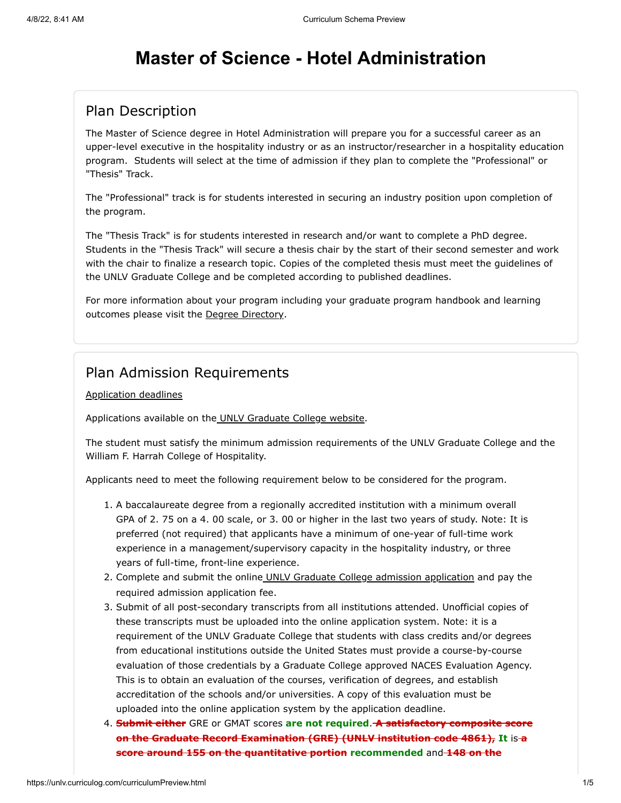# **Master of Science - Hotel Administration**

## Plan Description

The Master of Science degree in Hotel Administration will prepare you for a successful career as an upper-level executive in the hospitality industry or as an instructor/researcher in a hospitality education program. Students will select at the time of admission if they plan to complete the "Professional" or "Thesis" Track.

The "Professional" track is for students interested in securing an industry position upon completion of the program.

The "Thesis Track" is for students interested in research and/or want to complete a PhD degree. Students in the "Thesis Track" will secure a thesis chair by the start of their second semester and work with the chair to finalize a research topic. Copies of the completed thesis must meet the guidelines of the UNLV Graduate College and be completed according to published deadlines.

For more information about your program including your graduate program handbook and learning outcomes please visit the [Degree Directory.](http://www.unlv.edu/degree/ms-hotel-administration)

### Plan Admission Requirements

#### [Application deadlines](http://www.unlv.edu/graduatecollege/application-deadlines)

Applications available on th[e UNLV Graduate College website.](http://graduatecollege.unlv.edu/admissions/)

The student must satisfy the minimum admission requirements of the UNLV Graduate College and the William F. Harrah College of Hospitality.

Applicants need to meet the following requirement below to be considered for the program.

- 1. A baccalaureate degree from a regionally accredited institution with a minimum overall GPA of 2. 75 on a 4. 00 scale, or 3. 00 or higher in the last two years of study. Note: It is preferred (not required) that applicants have a minimum of one-year of full-time work experience in a management/supervisory capacity in the hospitality industry, or three years of full-time, front-line experience.
- 2. Complete and submit the onlin[e UNLV Graduate College admission application](https://www.unlv.edu/graduatecollege/futurestudents) and pay the required admission application fee.
- 3. Submit of all post-secondary transcripts from all institutions attended. Unofficial copies of these transcripts must be uploaded into the online application system. Note: it is a requirement of the UNLV Graduate College that students with class credits and/or degrees from educational institutions outside the United States must provide a course-by-course evaluation of those credentials by a Graduate College approved NACES Evaluation Agency. This is to obtain an evaluation of the courses, verification of degrees, and establish accreditation of the schools and/or universities. A copy of this evaluation must be uploaded into the online application system by the application deadline.
- 4. **Submit either** GRE or GMAT scores **are not required**. **A satisfactory composite score on the Graduate Record Examination (GRE) (UNLV institution code 4861), It** is **a score around 155 on the quantitative portion recommended** and **148 on the**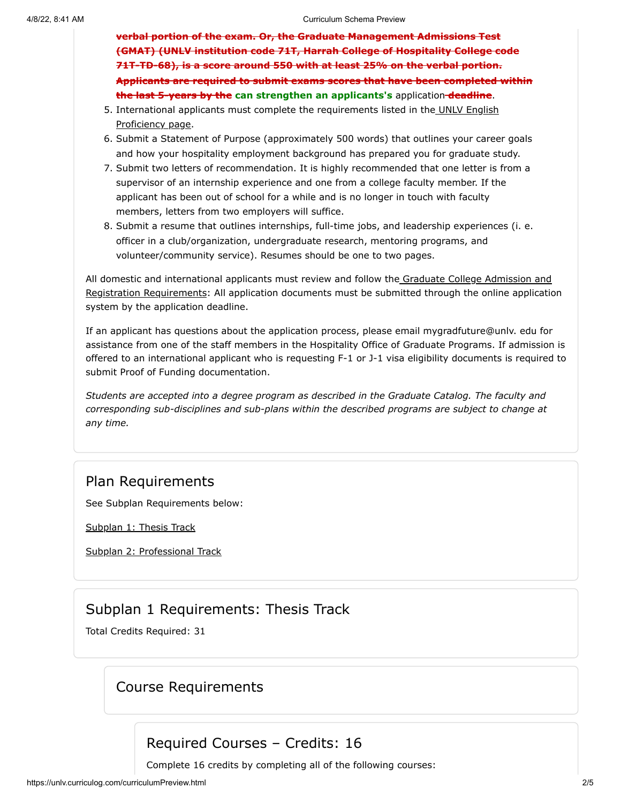**verbal portion of the exam. Or, the Graduate Management Admissions Test (GMAT) (UNLV institution code 71T, Harrah College of Hospitality College code 71T-TD-68), is a score around 550 with at least 25% on the verbal portion. Applicants are required to submit exams scores that have been completed within the last 5-years by the can strengthen an applicants's** application **deadline**.

- 5. [International applicants must complete the requirements listed in the UNLV English](https://www.unlv.edu/graduatecollege/English-proficiency) Proficiency page.
- 6. Submit a Statement of Purpose (approximately 500 words) that outlines your career goals and how your hospitality employment background has prepared you for graduate study.
- 7. Submit two letters of recommendation. It is highly recommended that one letter is from a supervisor of an internship experience and one from a college faculty member. If the applicant has been out of school for a while and is no longer in touch with faculty members, letters from two employers will suffice.
- 8. Submit a resume that outlines internships, full-time jobs, and leadership experiences (i. e. officer in a club/organization, undergraduate research, mentoring programs, and volunteer/community service). Resumes should be one to two pages.

[All domestic and international applicants must review and follow the Graduate College Admission and](https://www.unlv.edu/graduatecollege/futurestudents) Registration Requirements: All application documents must be submitted through the online application system by the application deadline.

If an applicant has questions about the application process, please email mygradfuture@unlv. edu for assistance from one of the staff members in the Hospitality Office of Graduate Programs. If admission is offered to an international applicant who is requesting F-1 or J-1 visa eligibility documents is required to submit Proof of Funding documentation.

*Students are accepted into a degree program as described in the Graduate Catalog. The faculty and corresponding sub-disciplines and sub-plans within the described programs are subject to change at any time.*

## Plan Requirements

See Subplan Requirements below:

[Subplan 1: Thesis Track](#page-1-0)

[Subplan 2: Professional Track](#page-3-0)

# Subplan 1 Requirements: Thesis Track

<span id="page-1-0"></span>Total Credits Required: 31

## Course Requirements

# Required Courses – Credits: 16

Complete 16 credits by completing all of the following courses: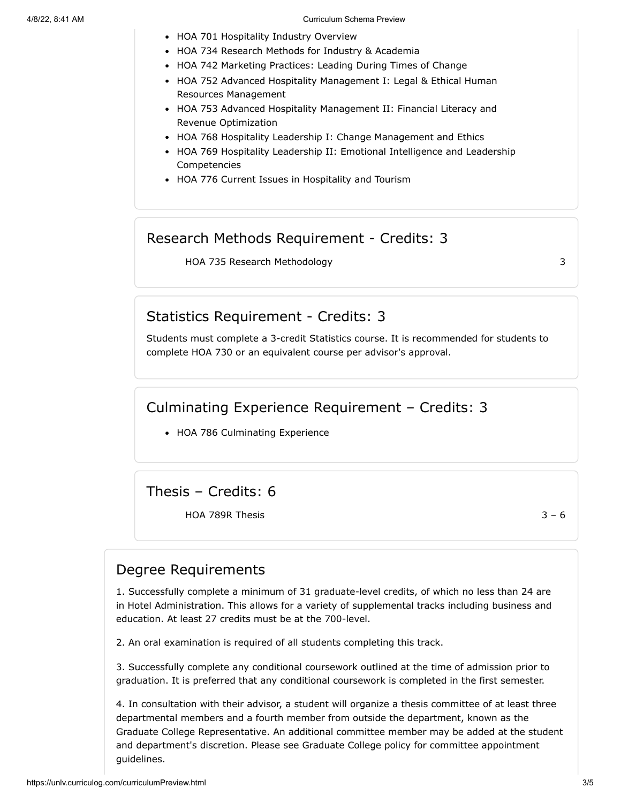#### 4/8/22, 8:41 AM Curriculum Schema Preview

- HOA 701 Hospitality Industry Overview
- HOA 734 Research Methods for Industry & Academia
- HOA 742 Marketing Practices: Leading During Times of Change
- HOA 752 Advanced Hospitality Management I: Legal & Ethical Human Resources Management
- HOA 753 Advanced Hospitality Management II: Financial Literacy and Revenue Optimization
- HOA 768 Hospitality Leadership I: Change Management and Ethics
- HOA 769 Hospitality Leadership II: Emotional Intelligence and Leadership Competencies
- HOA 776 Current Issues in Hospitality and Tourism

### Research Methods Requirement - Credits: 3

HOA 735 Research Methodology 3

### Statistics Requirement - Credits: 3

Students must complete a 3-credit Statistics course. It is recommended for students to complete HOA 730 or an equivalent course per advisor's approval.

### Culminating Experience Requirement – Credits: 3

• HOA 786 Culminating Experience

Thesis – Credits: 6

HOA 789R Thesis  $3 - 6$ 

### Degree Requirements

1. Successfully complete a minimum of 31 graduate-level credits, of which no less than 24 are in Hotel Administration. This allows for a variety of supplemental tracks including business and education. At least 27 credits must be at the 700-level.

2. An oral examination is required of all students completing this track.

3. Successfully complete any conditional coursework outlined at the time of admission prior to graduation. It is preferred that any conditional coursework is completed in the first semester.

4. In consultation with their advisor, a student will organize a thesis committee of at least three departmental members and a fourth member from outside the department, known as the Graduate College Representative. An additional committee member may be added at the student and department's discretion. Please see Graduate College policy for committee appointment guidelines.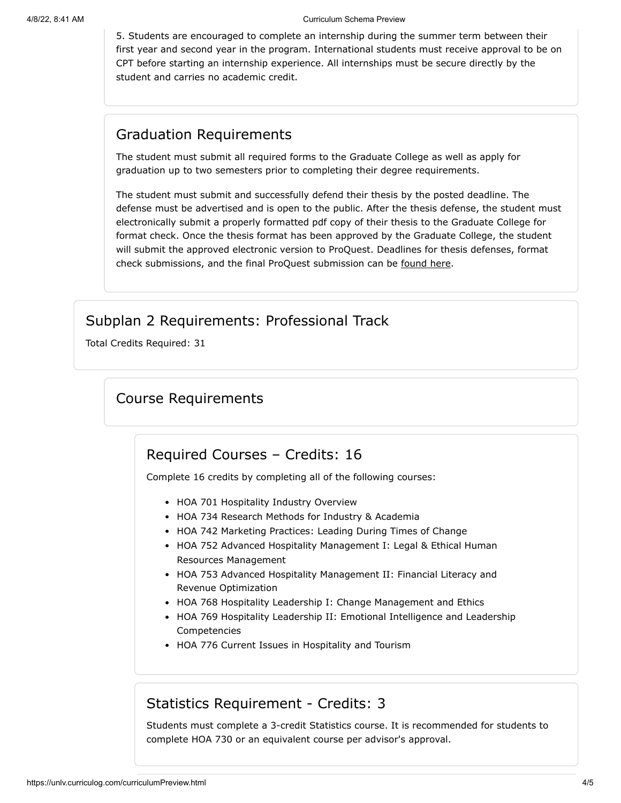5. Students are encouraged to complete an internship during the summer term between their first year and second year in the program. International students must receive approval to be on CPT before starting an internship experience. All internships must be secure directly by the student and carries no academic credit.

## Graduation Requirements

The student must submit all required forms to the Graduate College as well as apply for graduation up to two semesters prior to completing their degree requirements.

The student must submit and successfully defend their thesis by the posted deadline. The defense must be advertised and is open to the public. After the thesis defense, the student must electronically submit a properly formatted pdf copy of their thesis to the Graduate College for format check. Once the thesis format has been approved by the Graduate College, the student will submit the approved electronic version to ProQuest. Deadlines for thesis defenses, format check submissions, and the final ProQuest submission can be [found](https://www.unlv.edu/graduatecollege/graduation-deadlines) here.

# Subplan 2 Requirements: Professional Track

<span id="page-3-0"></span>Total Credits Required: 31

# Course Requirements

## Required Courses – Credits: 16

Complete 16 credits by completing all of the following courses:

- HOA 701 Hospitality Industry Overview
- HOA 734 Research Methods for Industry & Academia
- HOA 742 Marketing Practices: Leading During Times of Change
- HOA 752 Advanced Hospitality Management I: Legal & Ethical Human Resources Management
- HOA 753 Advanced Hospitality Management II: Financial Literacy and Revenue Optimization
- HOA 768 Hospitality Leadership I: Change Management and Ethics
- HOA 769 Hospitality Leadership II: Emotional Intelligence and Leadership Competencies
- HOA 776 Current Issues in Hospitality and Tourism

## Statistics Requirement - Credits: 3

Students must complete a 3-credit Statistics course. It is recommended for students to complete HOA 730 or an equivalent course per advisor's approval.